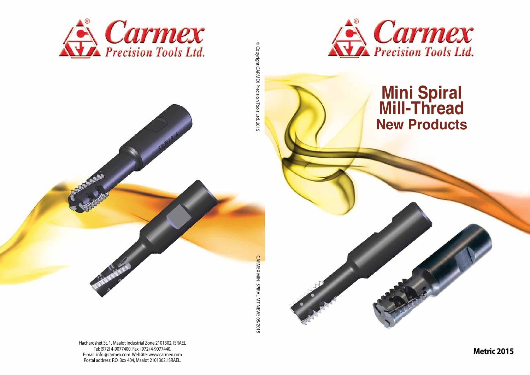Hacharoshet St. 1, Maalot Industrial Zone 2101302, ISRAEL Tel: (972) 4-9077400, Fax: (972) 4-9077440. E-mail: info @carmex.com Website: www.carmex.com Postal address: P.O. Box 404, Maalot 2101302, ISRAEL.





© Copyright CARMEX Precision Tools Ltd. 2015 © Copyright CARMEX Precision Tools Ltd. 2015



# **Mini Spiral Mill-Thread New Products**

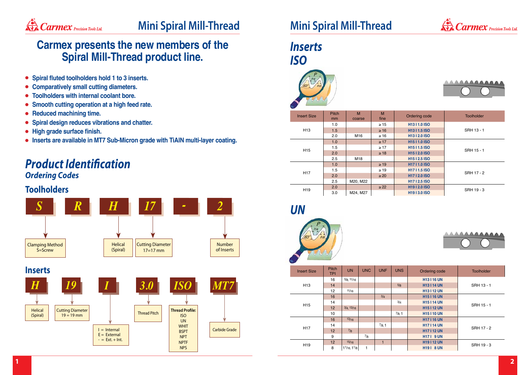





- **Spiral fluted toolholders hold 1 to 3 inserts.**
- **Comparatively small cutting diameters.**
- **Toolholders with internal coolant bore.**  $\bullet$
- **Smooth cutting operation at a high feed rate.**  $\bullet$
- **Reduced machining time.**  $\bullet$
- **Spiral design reduces vibrations and chatter.**  $\bullet$
- **High grade surface finish.**
- **Inserts are available in MT7 Sub-Micron grade with TiAlN multi-layer coating.**

### **Carmex presents the new members of the Spiral Mill-Thread product line.**



# **Mini Spiral Mill-Thread Mini Spiral Mill-Thread**

### *Product Identification Ordering Codes*

| <b>Insert Size</b> | <b>Pitch</b><br>mm | M<br>coarse     | M<br>fine | Ordering code             | <b>Toolholder</b> |
|--------------------|--------------------|-----------------|-----------|---------------------------|-------------------|
|                    | 1.0                |                 | $\geq 15$ | H1311.0 ISO               |                   |
| H <sub>13</sub>    | 1.5                |                 | $\geq 16$ | H <sub>13</sub>   1.5 ISO | SRH 13 - 1        |
|                    | 2.0                | M <sub>16</sub> | $\geq 16$ | H <sub>13</sub>   2.0 ISO |                   |
|                    | 1.0                |                 | $\geq$ 17 | <b>H1511.0 ISO</b>        |                   |
| H <sub>15</sub>    | 1.5                |                 | $\geq$ 17 | H <sub>15</sub>   1.5 ISO | SRH 15 - 1        |
|                    | 2.0                |                 | $\geq 18$ | H <sub>15</sub>   2.0 ISO |                   |
|                    | 2.5                | M18             |           | H <sub>15</sub>   2.5 ISO |                   |
|                    | 1.0                |                 | $\geq 19$ | <b>H1711.0 ISO</b>        |                   |
| H <sub>17</sub>    | 1.5                |                 | $\geq 19$ | H <sub>17</sub>   1.5 ISO | <b>SRH 17 - 2</b> |
|                    | 2.0                |                 | $\geq 20$ | <b>H1712.0 ISO</b>        |                   |
|                    | 2.5                | M20, M22        |           | H <sub>17</sub>   2.5 ISO |                   |
| H <sub>19</sub>    | 2.0                |                 | $\geq$ 22 | H <sub>19</sub>   2.0 ISO | SRH 19 - 3        |
|                    | 3.0                | M24, M27        |           | H <sub>19</sub>   3.0 ISO |                   |

### *Inserts ISO*





| <b>Insert Size</b> | Pitch<br><b>TPI</b> | <b>UN</b>       | <b>UNC</b> | <b>UNF</b> | <b>UNS</b>      | Ordering code    | <b>Toolholder</b> |
|--------------------|---------------------|-----------------|------------|------------|-----------------|------------------|-------------------|
|                    | 16                  | 5/8, 11/16      |            |            |                 | <b>H13116 UN</b> |                   |
| H <sub>13</sub>    | 14                  |                 |            |            | 5/8             | <b>H13114 UN</b> | SRH 13 - 1        |
|                    | 12                  | 11/16           |            |            |                 | <b>H13112 UN</b> |                   |
|                    | 16                  |                 |            | 3/4        |                 | <b>H15116 UN</b> |                   |
| H <sub>15</sub>    | 14                  |                 |            |            | 3/4             | <b>H15114 UN</b> | SRH 15 - 1        |
|                    | 12                  | $3/4$ , $13/16$ |            |            |                 | <b>H15112 UN</b> |                   |
|                    | 10                  |                 |            |            | $^{7}/_{8}$ , 1 | <b>H15110 UN</b> |                   |
|                    | 16                  | 13/16           |            |            |                 | <b>H17116 UN</b> |                   |
| H <sub>17</sub>    | 14                  |                 |            | 7/8, 1     |                 | <b>H17114 UN</b> | <b>SRH 17 - 2</b> |
|                    | 12                  | 7/8             |            |            |                 | <b>H17112 UN</b> |                   |
|                    | 9                   |                 | $^{7}/_8$  |            |                 | <b>H171 9 UN</b> |                   |
| H <sub>19</sub>    | 12                  | 15/16           |            | 1          |                 | <b>H19112 UN</b> | SRH 19 - 3        |
|                    | 8                   | 11/16, 11/8     | 1          |            |                 | <b>H191 8 UN</b> |                   |

*UN*

### **Toolholders**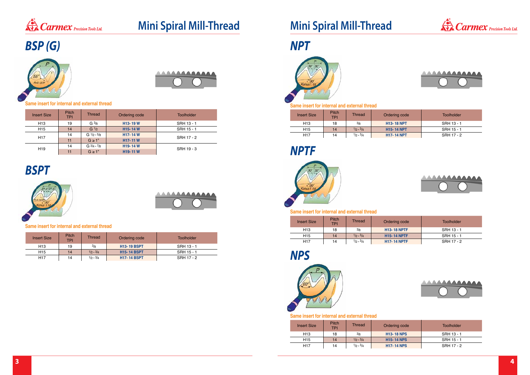









# **Mini Spiral Mill-Thread Mini Spiral Mill-Thread**

| <b>Insert Size</b> | <b>Pitch</b><br><b>TPI</b>          | <b>Thread</b>     | Ordering code                    | <b>Toolholder</b> |  |
|--------------------|-------------------------------------|-------------------|----------------------------------|-------------------|--|
| H <sub>13</sub>    | 19                                  | G <sup>3</sup> /8 | H <sub>13</sub> -19 W            | SRH 13 - 1        |  |
| H <sub>15</sub>    | 14                                  | G <sup>1/2</sup>  | H <sub>15</sub> -14 W            | SRH 15 - 1        |  |
| H <sub>17</sub>    | 14                                  | $G$ $1/2 - 5/8$   | H <sub>17</sub> -14 W            | SRH 17 - 2        |  |
|                    | 11                                  | $G \geq 1$ "      | H17-11W                          |                   |  |
| H <sub>19</sub>    | $G \frac{3}{4} - \frac{7}{8}$<br>14 |                   | H <sub>19</sub> -14 W            | SRH 19 - 3        |  |
|                    | 11                                  | $G \geq 1$ "      | H <sub>19</sub> -11 <sub>W</sub> |                   |  |

| <b>Insert Size</b> | <b>Pitch</b><br><b>TPI</b> | <b>Thread</b> | Ordering code      | <b>Toolholder</b> |
|--------------------|----------------------------|---------------|--------------------|-------------------|
| H <sub>13</sub>    | 19                         | 3/8           | <b>H13-19 BSPT</b> | SRH 13 - 1        |
| H <sub>15</sub>    | 14                         | $1/2 - 3/4$   | <b>H15-14 BSPT</b> | SRH 15 - 1        |
| H <sub>17</sub>    | 14                         | $1/2 - 3/4$   | <b>H17-14 BSPT</b> | SRH 17 - 2        |

# *BSP (G)*





## *BSPT*



|  | AAAAAAAAAAAA |
|--|--------------|
|  |              |
|  |              |

| <b>Insert Size</b> | <b>Pitch</b><br><b>TPI</b> | Thread      | Ordering code     | Toolholder |
|--------------------|----------------------------|-------------|-------------------|------------|
| H <sub>13</sub>    | 18                         | 3/8         | <b>H13-18 NPT</b> | SRH 13 - 1 |
| H <sub>15</sub>    | 14                         | $1/2 - 3/4$ | <b>H15-14 NPT</b> | SRH 15 - 1 |
| H <sub>17</sub>    | 14                         | $1/2 - 3/4$ | <b>H17-14 NPT</b> | SRH 17 - 2 |

*NPT*



| <b>Insert Size</b> | Pitch<br><b>TPI</b> | Thread      | Ordering code                | Toolholder |  |  |
|--------------------|---------------------|-------------|------------------------------|------------|--|--|
| H <sub>13</sub>    | 18                  | 3/8         | <b>H13-18 NPS</b>            | SRH 13 - 1 |  |  |
| H15                | 14                  | $1/2 - 3/4$ | <b>H<sub>15</sub>-14 NPS</b> | SRH 15 - 1 |  |  |
| H <sub>17</sub>    | 14                  | $1/2 - 3/4$ | <b>H17-14 NPS</b>            | SRH 17 - 2 |  |  |

*NPS*



| <b>Insert Size</b> | <b>Pitch</b><br><b>TPI</b> | Thread      | Ordering code      | Toolholder |
|--------------------|----------------------------|-------------|--------------------|------------|
| H <sub>13</sub>    | 18                         | 3/8         | <b>H13-18 NPTF</b> | SRH 13 - 1 |
| H <sub>15</sub>    | 14                         | $1/2 - 3/4$ | <b>H15-14 NPTF</b> | SRH 15 - 1 |
| H <sub>17</sub>    | 14                         | $1/2 - 3/4$ | <b>H17-14 NPTF</b> | SRH 17 - 2 |

*NPTF*



#### **Same insert for internal and external thread**

#### **Same insert for internal and external thread**

#### **Same insert for internal and external thread**

#### **Same insert for internal and external thread**

#### **Same insert for internal and external thread**